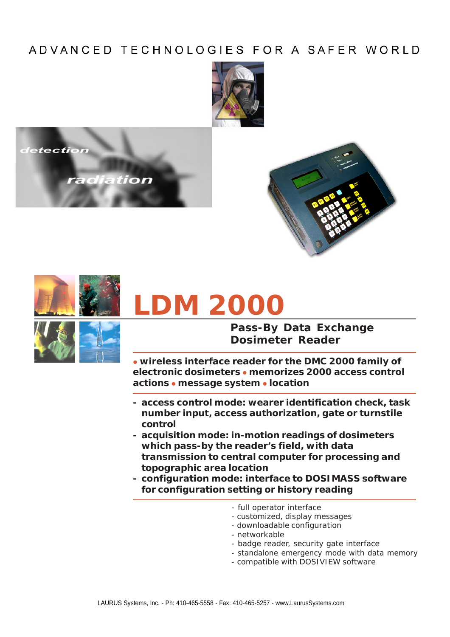## ADVANCED TECHNOLOGIES FOR A SAFER WORLD









# **LDM 2000**



### **Pass-By Data Exchange Dosimeter Reader**

**• wireless interface reader for the DMC 2000 family of electronic dosimeters** z **memorizes 2000 access control actions** z **message system** z **location**

- **access control mode: wearer identification check, task number input, access authorization, gate or turnstile control**
- **acquisition mode: in-motion readings of dosimeters which pass-by the reader's field, with data transmission to central computer for processing and topographic area location**
- **configuration mode: interface to DOSIMASS software for configuration setting or history reading**
	- full operator interface
	- customized, display messages
	- downloadable configuration
	- networkable
	- badge reader, security gate interface
	- standalone emergency mode with data memory
	- compatible with DOSIVIEW software